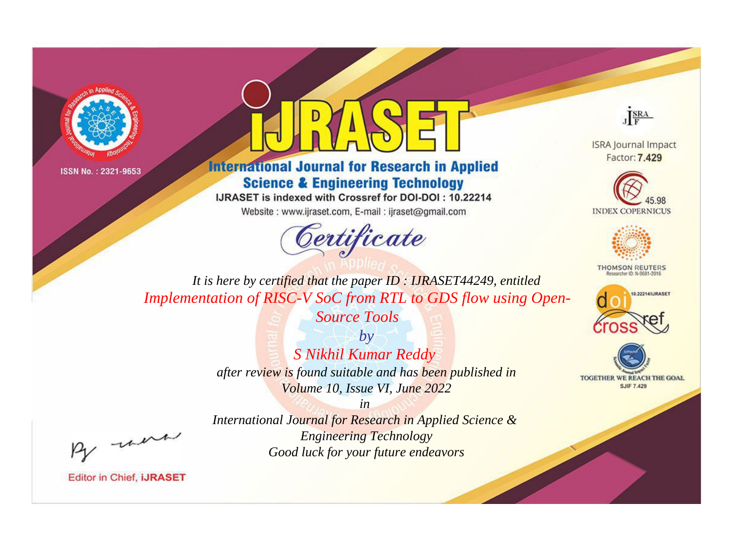



**International Journal for Research in Applied Science & Engineering Technology** 

IJRASET is indexed with Crossref for DOI-DOI: 10.22214

Website: www.ijraset.com, E-mail: ijraset@gmail.com



JERA

**ISRA Journal Impact** Factor: 7.429





**THOMSON REUTERS** 



TOGETHER WE REACH THE GOAL **SJIF 7.429** 

*It is here by certified that the paper ID : IJRASET44249, entitled Implementation of RISC-V SoC from RTL to GDS flow using Open-*

*Source Tools*

*by S Nikhil Kumar Reddy after review is found suitable and has been published in Volume 10, Issue VI, June 2022*

, un

*International Journal for Research in Applied Science & Engineering Technology Good luck for your future endeavors*

*in*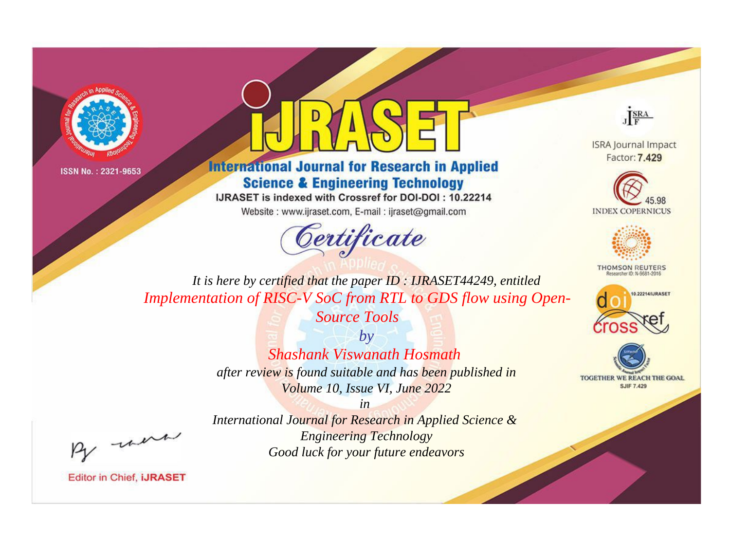



**International Journal for Research in Applied Science & Engineering Technology** 

IJRASET is indexed with Crossref for DOI-DOI: 10.22214

Website: www.ijraset.com, E-mail: ijraset@gmail.com





**ISRA Journal Impact** Factor: 7.429





**THOMSON REUTERS** 



TOGETHER WE REACH THE GOAL **SJIF 7.429** 

*It is here by certified that the paper ID : IJRASET44249, entitled Implementation of RISC-V SoC from RTL to GDS flow using Open-*

*Source Tools*

*by Shashank Viswanath Hosmath after review is found suitable and has been published in Volume 10, Issue VI, June 2022*

*in* 

*International Journal for Research in Applied Science & Engineering Technology Good luck for your future endeavors*

, were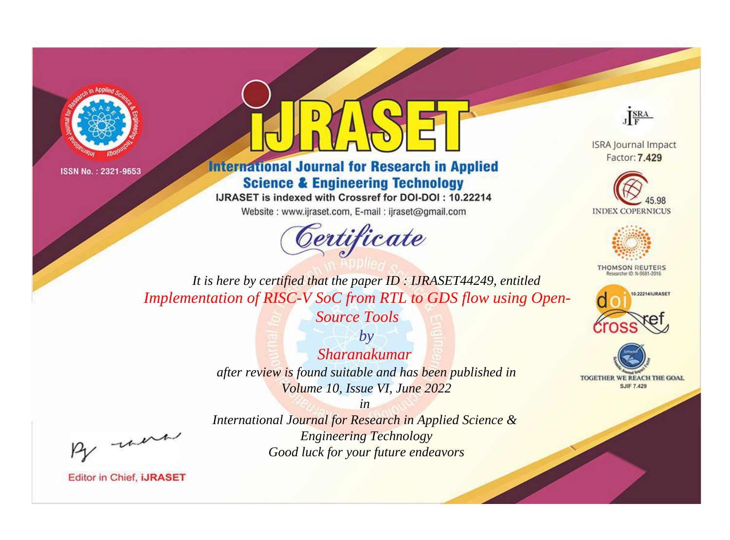



## **International Journal for Research in Applied Science & Engineering Technology**

IJRASET is indexed with Crossref for DOI-DOI: 10.22214

Website: www.ijraset.com, E-mail: ijraset@gmail.com



JERA

**ISRA Journal Impact** Factor: 7.429





**THOMSON REUTERS** 



TOGETHER WE REACH THE GOAL **SJIF 7.429** 

*It is here by certified that the paper ID : IJRASET44249, entitled Implementation of RISC-V SoC from RTL to GDS flow using Open-*

> *Source Tools by Sharanakumar*

*after review is found suitable and has been published in Volume 10, Issue VI, June 2022*

*in* 

, un

*International Journal for Research in Applied Science & Engineering Technology Good luck for your future endeavors*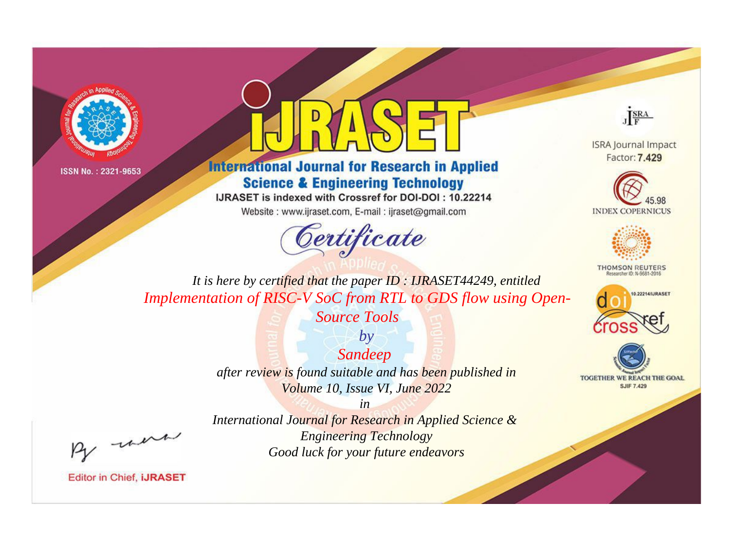



**International Journal for Research in Applied Science & Engineering Technology** 

IJRASET is indexed with Crossref for DOI-DOI: 10.22214

Website: www.ijraset.com, E-mail: ijraset@gmail.com



JERA

**ISRA Journal Impact** Factor: 7.429





**THOMSON REUTERS** 



TOGETHER WE REACH THE GOAL **SJIF 7.429** 

*It is here by certified that the paper ID : IJRASET44249, entitled Implementation of RISC-V SoC from RTL to GDS flow using Open-*

*Source Tools*

*Sandeep after review is found suitable and has been published in Volume 10, Issue VI, June 2022*

*by*

, un

*International Journal for Research in Applied Science & Engineering Technology Good luck for your future endeavors*

*in*